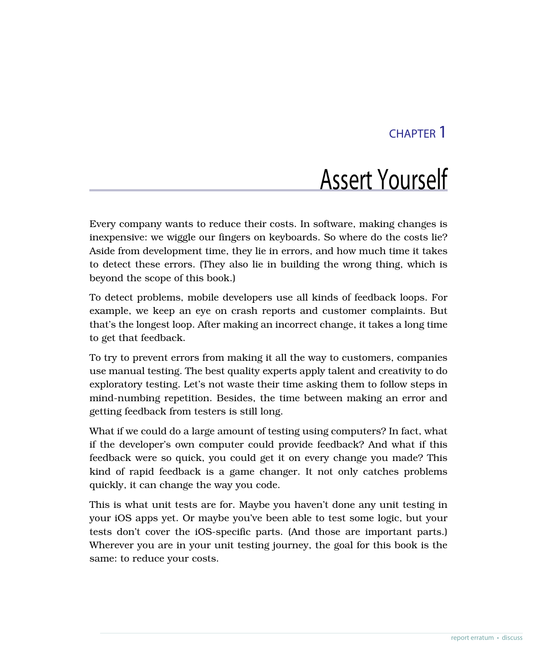# CHAPTER 1

# Assert Yourself

Every company wants to reduce their costs. In software, making changes is inexpensive: we wiggle our fingers on keyboards. So where do the costs lie? Aside from development time, they lie in errors, and how much time it takes to detect these errors. (They also lie in building the wrong thing, which is beyond the scope of this book.)

To detect problems, mobile developers use all kinds of feedback loops. For example, we keep an eye on crash reports and customer complaints. But that's the longest loop. After making an incorrect change, it takes a long time to get that feedback.

To try to prevent errors from making it all the way to customers, companies use manual testing. The best quality experts apply talent and creativity to do exploratory testing. Let's not waste their time asking them to follow steps in mind-numbing repetition. Besides, the time between making an error and getting feedback from testers is still long.

What if we could do a large amount of testing using computers? In fact, what if the developer's own computer could provide feedback? And what if this feedback were so quick, you could get it on every change you made? This kind of rapid feedback is a game changer. It not only catches problems quickly, it can change the way you code.

This is what unit tests are for. Maybe you haven't done any unit testing in your iOS apps yet. Or maybe you've been able to test some logic, but your tests don't cover the iOS-specific parts. (And those are important parts.) Wherever you are in your unit testing journey, the goal for this book is the same: to reduce your costs.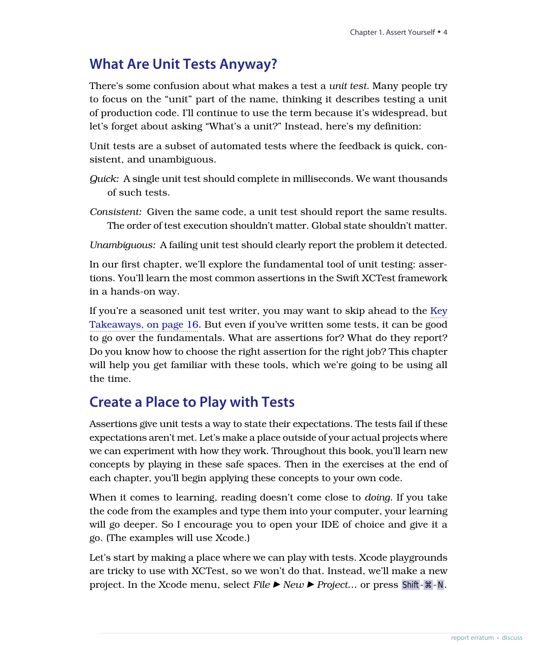# **What Are Unit Tests Anyway?**

There's some confusion about what makes a test a *unit test*. Many people try to focus on the "unit" part of the name, thinking it describes testing a unit of production code. I'll continue to use the term because it's widespread, but let's forget about asking "What's a unit?" Instead, here's my definition:

Unit tests are a subset of automated tests where the feedback is quick, consistent, and unambiguous.

- *Quick:* A single unit test should complete in milliseconds. We want thousands of such tests.
- *Consistent:* Given the same code, a unit test should report the same results. The order of test execution shouldn't matter. Global state shouldn't matter.

*Unambiguous:* A failing unit test should clearly report the problem it detected.

In our first chapter, we'll explore the fundamental tool of unit testing: assertions. You'll learn the most common assertions in the Swift XCTest framework in a hands-on way.

If you're a seasoned unit test writer, you may want to skip ahead to the Key Takeaways, on page 16. But even if you've written some tests, it can be good to go over the fundamentals. What are assertions for? What do they report? Do you know how to choose the right assertion for the right job? This chapter will help you get familiar with these tools, which we're going to be using all the time.

# **Create a Place to Play with Tests**

Assertions give unit tests a way to state their expectations. The tests fail if these expectations aren't met. Let's make a place outside of your actual projects where we can experiment with how they work. Throughout this book, you'll learn new concepts by playing in these safe spaces. Then in the exercises at the end of each chapter, you'll begin applying these concepts to your own code.

When it comes to learning, reading doesn't come close to *doing*. If you take the code from the examples and type them into your computer, your learning will go deeper. So I encourage you to open your IDE of choice and give it a go. (The examples will use Xcode.)

Let's start by making a place where we can play with tests. Xcode playgrounds are tricky to use with XCTest, so we won't do that. Instead, we'll make a new project. In the Xcode menu, select *File ▶ New ▶ Project...* or press Shift- $\mathcal{R}$ -N.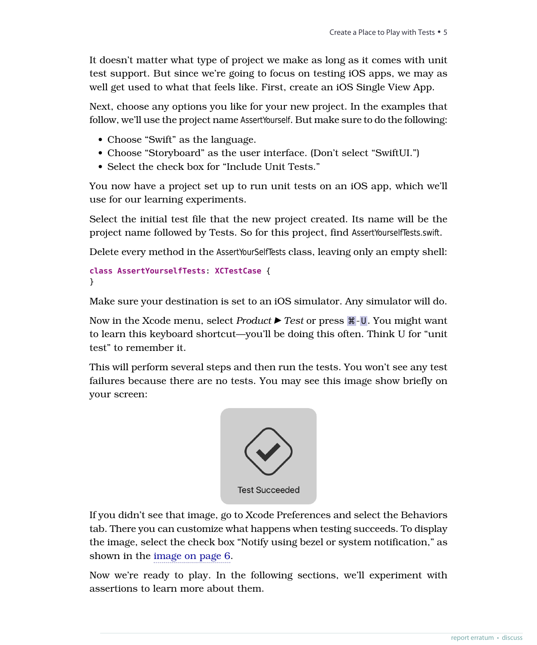It doesn't matter what type of project we make as long as it comes with unit test support. But since we're going to focus on testing iOS apps, we may as well get used to what that feels like. First, create an iOS Single View App.

Next, choose any options you like for your new project. In the examples that follow, we'll use the project name AssertYourself. But make sure to do the following:

- Choose "Swift" as the language.
- Choose "Storyboard" as the user interface. (Don't select "SwiftUI.")
- Select the check box for "Include Unit Tests."

You now have a project set up to run unit tests on an iOS app, which we'll use for our learning experiments.

Select the initial test file that the new project created. Its name will be the project name followed by Tests. So for this project, find AssertYourselfTests.swift.

Delete every method in the AssertYourSelfTests class, leaving only an empty shell:

```
class AssertYourselfTests: XCTestCase {
}
```
Make sure your destination is set to an iOS simulator. Any simulator will do.

Now in the Xcode menu, select *Product ► Test* or press  $\frac{1}{n}$ -U. You might want to learn this keyboard shortcut—you'll be doing this often. Think U for "unit test" to remember it.

This will perform several steps and then run the tests. You won't see any test failures because there are no tests. You may see this image show briefly on your screen:



If you didn't see that image, go to Xcode Preferences and select the Behaviors tab. There you can customize what happens when testing succeeds. To display the image, select the check box "Notify using bezel or system notification," as shown in the image on page 6.

Now we're ready to play. In the following sections, we'll experiment with assertions to learn more about them.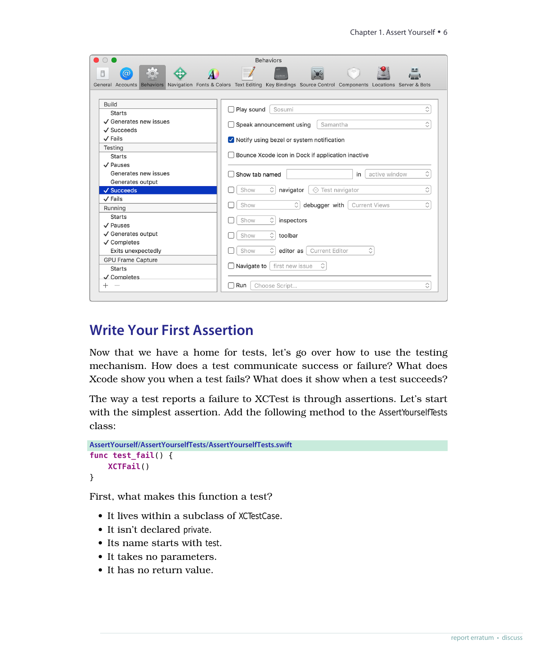|                          | <b>Behaviors</b>                                                                                                                 |  |
|--------------------------|----------------------------------------------------------------------------------------------------------------------------------|--|
| $\omega$<br>O            | $\Rightarrow$<br>option                                                                                                          |  |
|                          | General Accounts Behaviors Navigation Fonts & Colors Text Editing Key Bindings Source Control Components Locations Server & Bots |  |
|                          |                                                                                                                                  |  |
| <b>Build</b>             | ≎<br>Play sound<br>Sosumi                                                                                                        |  |
| <b>Starts</b>            |                                                                                                                                  |  |
| ✔ Generates new issues   | $\hat{\mathcal{C}}$<br>Speak announcement using<br>Samantha                                                                      |  |
| $\checkmark$ Succeeds    |                                                                                                                                  |  |
| $\checkmark$ Fails       | V Notify using bezel or system notification                                                                                      |  |
| Testing                  |                                                                                                                                  |  |
| <b>Starts</b>            | Bounce Xcode icon in Dock if application inactive                                                                                |  |
| $\sqrt{}$ Pauses         |                                                                                                                                  |  |
| Generates new issues     | $\hat{\mathbf{C}}$<br>active window<br>Show tab named<br>in                                                                      |  |
| Generates output         |                                                                                                                                  |  |
| ✔ Succeeds               | $\hat{\mathbf{C}}$<br>$\hat{\mathcal{C}}$<br>$\Diamond$ Test navigator<br>Show<br>navigator                                      |  |
| $\checkmark$ Fails       | $\hat{\cdot}$<br>$\circ$<br><b>Current Views</b><br>Show<br>debugger with                                                        |  |
| Running                  |                                                                                                                                  |  |
| <b>Starts</b>            | $\hat{\mathcal{C}}$<br>Show<br>inspectors                                                                                        |  |
| $\sqrt{}$ Pauses         |                                                                                                                                  |  |
| √ Generates output       | $\hat{\phantom{a}}$<br>Show<br>toolbar                                                                                           |  |
| √ Completes              |                                                                                                                                  |  |
| Exits unexpectedly       | $\circ$<br>$\hat{\mathcal{C}}$<br>Show<br>editor as<br><b>Current Editor</b>                                                     |  |
| <b>GPU Frame Capture</b> | first new issue<br>$\hat{\mathcal{C}}$<br>Navigate to                                                                            |  |
| <b>Starts</b>            |                                                                                                                                  |  |
| $\checkmark$ Completes   | Λ                                                                                                                                |  |
| +                        | $\bigcap$ Run<br>Choose Script<br>$\checkmark$                                                                                   |  |

#### **Write Your First Assertion**

Now that we have a home for tests, let's go over how to use the testing mechanism. How does a test communicate success or failure? What does Xcode show you when a test fails? What does it show when a test succeeds?

The way a test reports a failure to XCTest is through assertions. Let's start with the simplest assertion. Add the following method to the AssertYourselfTests class:

```
AssertYourself/AssertYourselfTests/AssertYourselfTests.swift
func test_fail() {
    XCTFail()
}
```
First, what makes this function a test?

- It lives within a subclass of XCTestCase.
- It isn't declared private.
- Its name starts with test.
- It takes no parameters.
- It has no return value.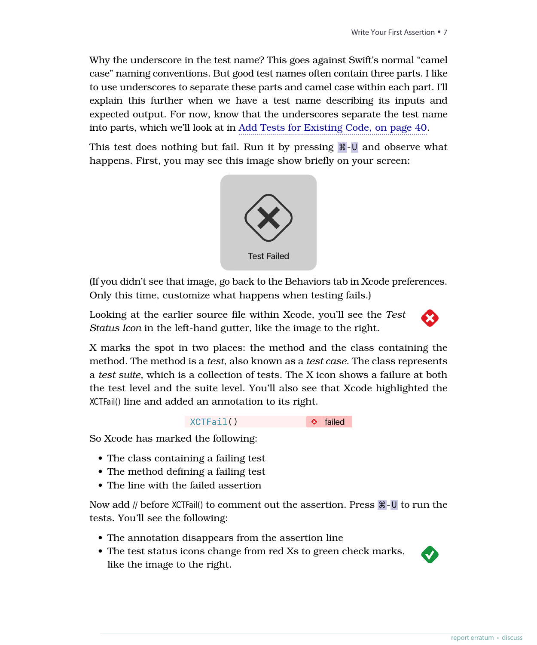Why the underscore in the test name? This goes against Swift's normal "camel case" naming conventions. But good test names often contain three parts. I like to use underscores to separate these parts and camel case within each part. I'll explain this further when we have a test name describing its inputs and expected output. For now, know that the underscores separate the test name into parts, which we'll look at in Add Tests for Existing Code, on page 40.

This test does nothing but fail. Run it by pressing  $\frac{1}{2}$ -U and observe what happens. First, you may see this image show briefly on your screen:



(If you didn't see that image, go back to the Behaviors tab in Xcode preferences. Only this time, customize what happens when testing fails.)

Looking at the earlier source file within Xcode, you'll see the *Test Status Icon* in the left-hand gutter, like the image to the right.



X marks the spot in two places: the method and the class containing the method. The method is a *test*, also known as a *test case*. The class represents a *test suite*, which is a collection of tests. The X icon shows a failure at both the test level and the suite level. You'll also see that Xcode highlighted the XCTFail() line and added an annotation to its right.

> XCTFail()  $\bullet$  failed

So Xcode has marked the following:

- The class containing a failing test
- The method defining a failing test
- The line with the failed assertion

Now add // before XCTFail() to comment out the assertion. Press  $\frac{100}{100}$  Turn the tests. You'll see the following:

- The annotation disappears from the assertion line
- The test status icons change from red Xs to green check marks, like the image to the right.

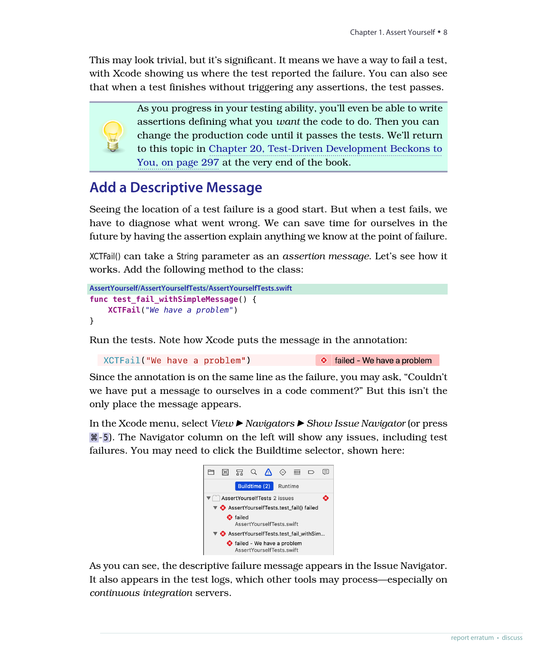This may look trivial, but it's significant. It means we have a way to fail a test, with Xcode showing us where the test reported the failure. You can also see that when a test finishes without triggering any assertions, the test passes.



As you progress in your testing ability, you'll even be able to write assertions defining what you *want* the code to do. Then you can change the production code until it passes the tests. We'll return to this topic in Chapter 20, Test-Driven Development Beckons to You, on page 297 at the very end of the book.

# **Add a Descriptive Message**

Seeing the location of a test failure is a good start. But when a test fails, we have to diagnose what went wrong. We can save time for ourselves in the future by having the assertion explain anything we know at the point of failure.

XCTFail() can take a String parameter as an *assertion message*. Let's see how it works. Add the following method to the class:

```
AssertYourself/AssertYourselfTests/AssertYourselfTests.swift
func test_fail_withSimpleMessage() {
    XCTFail("We have a problem")
}
```
Run the tests. Note how Xcode puts the message in the annotation:

```
XCTFail("We have a problem")
                                                    \bullet failed - We have a problem
```
Since the annotation is on the same line as the failure, you may ask, "Couldn't we have put a message to ourselves in a code comment?" But this isn't the only place the message appears.

In the Xcode menu, select *View* ▶ *Navigators* ▶ *Show Issue Navigator* (or press D-5). The Navigator column on the left will show any issues, including test failures. You may need to click the Buildtime selector, shown here:



As you can see, the descriptive failure message appears in the Issue Navigator. It also appears in the test logs, which other tools may process—especially on *continuous integration* servers.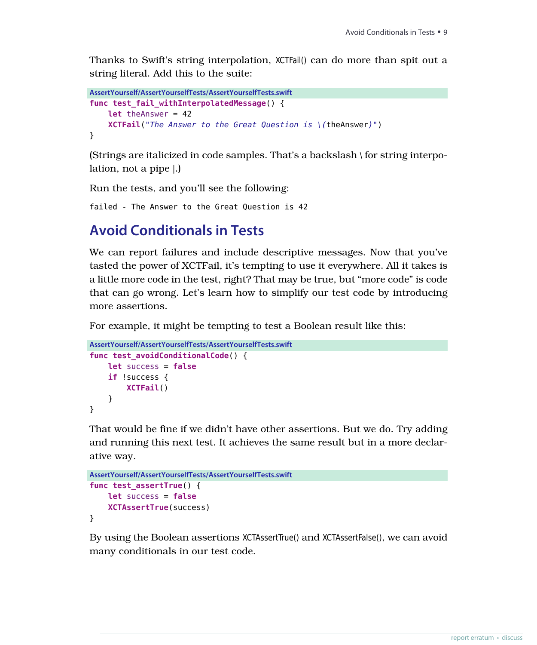Thanks to Swift's string interpolation, XCTFail() can do more than spit out a string literal. Add this to the suite:

```
AssertYourself/AssertYourselfTests/AssertYourselfTests.swift
func test_fail_withInterpolatedMessage() {
    let theAnswer = 42
    XCTFail("The Answer to the Great Question is \(theAnswer)")
}
```
(Strings are italicized in code samples. That's a backslash \ for string interpolation, not a pipe |.)

Run the tests, and you'll see the following:

failed - The Answer to the Great Question is 42

## **Avoid Conditionals in Tests**

We can report failures and include descriptive messages. Now that you've tasted the power of XCTFail, it's tempting to use it everywhere. All it takes is a little more code in the test, right? That may be true, but "more code" is code that can go wrong. Let's learn how to simplify our test code by introducing more assertions.

For example, it might be tempting to test a Boolean result like this:

```
AssertYourself/AssertYourselfTests/AssertYourselfTests.swift
func test_avoidConditionalCode() {
    let success = false
    if !success {
        XCTFail()
    }
}
```
That would be fine if we didn't have other assertions. But we do. Try adding and running this next test. It achieves the same result but in a more declarative way.

```
AssertYourself/AssertYourselfTests/AssertYourselfTests.swift
func test_assertTrue() {
    let success = false
    XCTAssertTrue(success)
}
```
By using the Boolean assertions XCTAssertTrue() and XCTAssertFalse(), we can avoid many conditionals in our test code.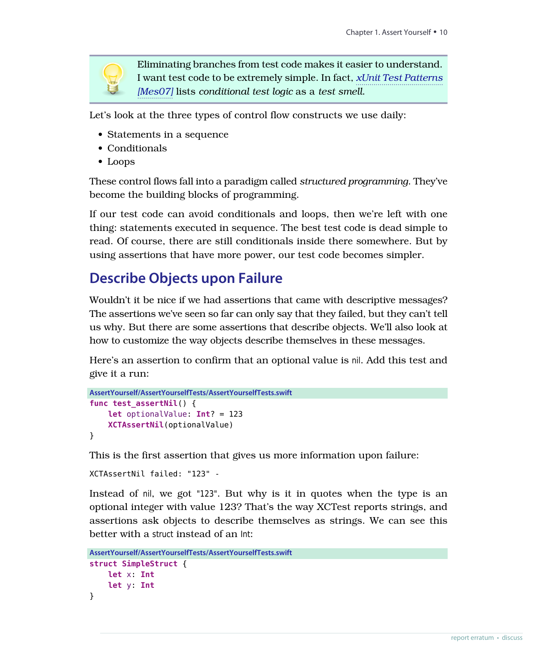

Eliminating branches from test code makes it easier to understand. I want test code to be extremely simple. In fact, *xUnit Test Patterns [Mes07]* lists *conditional test logic* as a *test smell*.

Let's look at the three types of control flow constructs we use daily:

- Statements in a sequence
- Conditionals
- Loops

These control flows fall into a paradigm called *structured programming*. They've become the building blocks of programming.

If our test code can avoid conditionals and loops, then we're left with one thing: statements executed in sequence. The best test code is dead simple to read. Of course, there are still conditionals inside there somewhere. But by using assertions that have more power, our test code becomes simpler.

# **Describe Objects upon Failure**

Wouldn't it be nice if we had assertions that came with descriptive messages? The assertions we've seen so far can only say that they failed, but they can't tell us why. But there are some assertions that describe objects. We'll also look at how to customize the way objects describe themselves in these messages.

Here's an assertion to confirm that an optional value is nil. Add this test and give it a run:

```
AssertYourself/AssertYourselfTests/AssertYourselfTests.swift
func test_assertNil() {
    let optionalValue: Int? = 123
    XCTAssertNil(optionalValue)
}
```
This is the first assertion that gives us more information upon failure:

```
XCTAssertNil failed: "123" -
```
Instead of nil, we got "123". But why is it in quotes when the type is an optional integer with value 123? That's the way XCTest reports strings, and assertions ask objects to describe themselves as strings. We can see this better with a struct instead of an Int:

```
AssertYourself/AssertYourselfTests/AssertYourselfTests.swift
struct SimpleStruct {
    let x: Int
    let y: Int
}
```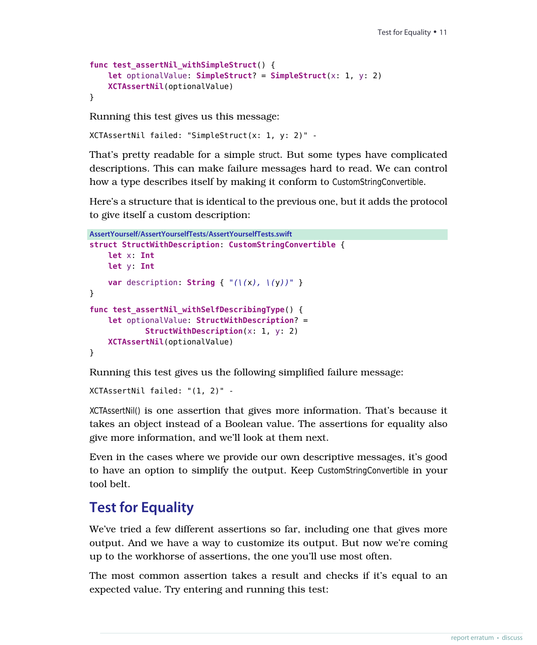```
func test_assertNil_withSimpleStruct() {
   let optionalValue: SimpleStruct? = SimpleStruct(x: 1, y: 2)
   XCTAssertNil(optionalValue)
}
```
Running this test gives us this message:

```
XCTAssertNil failed: "SimpleStruct(x: 1, y: 2)" -
```
That's pretty readable for a simple struct. But some types have complicated descriptions. This can make failure messages hard to read. We can control how a type describes itself by making it conform to CustomStringConvertible.

Here's a structure that is identical to the previous one, but it adds the protocol to give itself a custom description:

```
AssertYourself/AssertYourselfTests/AssertYourselfTests.swift
struct StructWithDescription: CustomStringConvertible {
    let x: Int
    let y: Int
    var description: String \{ "(\{(x), \{(y)\})" }
}
func test_assertNil_withSelfDescribingType() {
    let optionalValue: StructWithDescription? =
             StructWithDescription(x: 1, y: 2)
    XCTAssertNil(optionalValue)
}
```
Running this test gives us the following simplified failure message:

```
XCTAssertNil failed: "(1, 2)" -
```
XCTAssertNil() is one assertion that gives more information. That's because it takes an object instead of a Boolean value. The assertions for equality also give more information, and we'll look at them next.

Even in the cases where we provide our own descriptive messages, it's good to have an option to simplify the output. Keep CustomStringConvertible in your tool belt.

## **Test for Equality**

We've tried a few different assertions so far, including one that gives more output. And we have a way to customize its output. But now we're coming up to the workhorse of assertions, the one you'll use most often.

The most common assertion takes a result and checks if it's equal to an expected value. Try entering and running this test: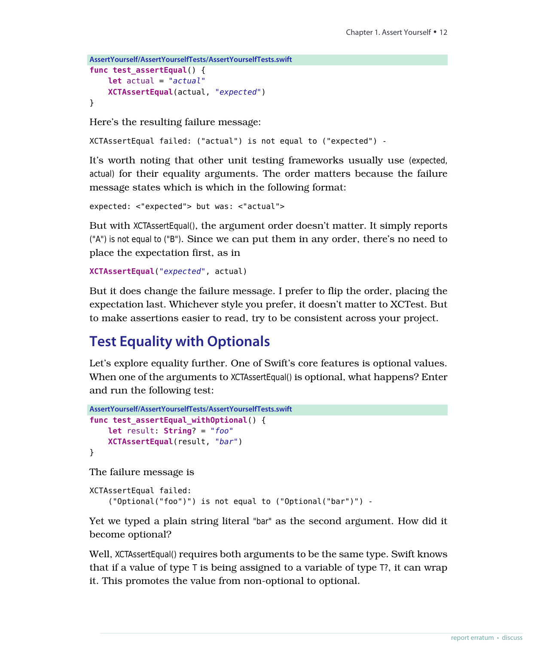```
AssertYourself/AssertYourselfTests/AssertYourselfTests.swift
func test_assertEqual() {
    let actual = "actual"
    XCTAssertEqual(actual, "expected")
}
```
Here's the resulting failure message:

XCTAssertEqual failed: ("actual") is not equal to ("expected") -

It's worth noting that other unit testing frameworks usually use (expected, actual) for their equality arguments. The order matters because the failure message states which is which in the following format:

```
expected: <"expected"> but was: <"actual">
```
But with XCTAssertEqual(), the argument order doesn't matter. It simply reports ("A") is not equal to ("B"). Since we can put them in any order, there's no need to place the expectation first, as in

```
XCTAssertEqual("expected", actual)
```
But it does change the failure message. I prefer to flip the order, placing the expectation last. Whichever style you prefer, it doesn't matter to XCTest. But to make assertions easier to read, try to be consistent across your project.

## **Test Equality with Optionals**

Let's explore equality further. One of Swift's core features is optional values. When one of the arguments to XCTAssertEqual() is optional, what happens? Enter and run the following test:

```
AssertYourself/AssertYourselfTests/AssertYourselfTests.swift
func test_assertEqual_withOptional() {
    let result: String? = "foo"
    XCTAssertEqual(result, "bar")
}
```
The failure message is

```
XCTAssertEqual failed:
    ("Optional("foo")") is not equal to ("Optional("bar")") -
```
Yet we typed a plain string literal "bar" as the second argument. How did it become optional?

Well, XCTAssertEqual() requires both arguments to be the same type. Swift knows that if a value of type T is being assigned to a variable of type T?, it can wrap it. This promotes the value from non-optional to optional.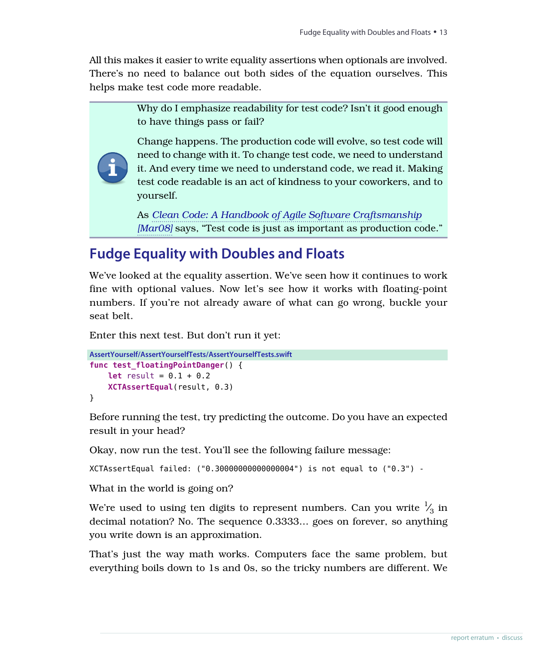All this makes it easier to write equality assertions when optionals are involved. There's no need to balance out both sides of the equation ourselves. This helps make test code more readable.

> Why do I emphasize readability for test code? Isn't it good enough to have things pass or fail?



Change happens. The production code will evolve, so test code will need to change with it. To change test code, we need to understand it. And every time we need to understand code, we read it. Making test code readable is an act of kindness to your coworkers, and to yourself.

As *Clean Code: A Handbook of Agile Software Craftsmanship [Mar08]* says, "Test code is just as important as production code."

# **Fudge Equality with Doubles and Floats**

We've looked at the equality assertion. We've seen how it continues to work fine with optional values. Now let's see how it works with floating-point numbers. If you're not already aware of what can go wrong, buckle your seat belt.

Enter this next test. But don't run it yet:

```
AssertYourself/AssertYourselfTests/AssertYourselfTests.swift
func test_floatingPointDanger() {
    let result = 0.1 + 0.2XCTAssertEqual(result, 0.3)
}
```
Before running the test, try predicting the outcome. Do you have an expected result in your head?

Okay, now run the test. You'll see the following failure message:

```
XCTAssertEqual failed: ("0.30000000000000004") is not equal to ("0.3") -
```
What in the world is going on?

We're used to using ten digits to represent numbers. Can you write  $\frac{1}{3}$  in decimal notation? No. The sequence 0.3333… goes on forever, so anything you write down is an approximation.

That's just the way math works. Computers face the same problem, but everything boils down to 1s and 0s, so the tricky numbers are different. We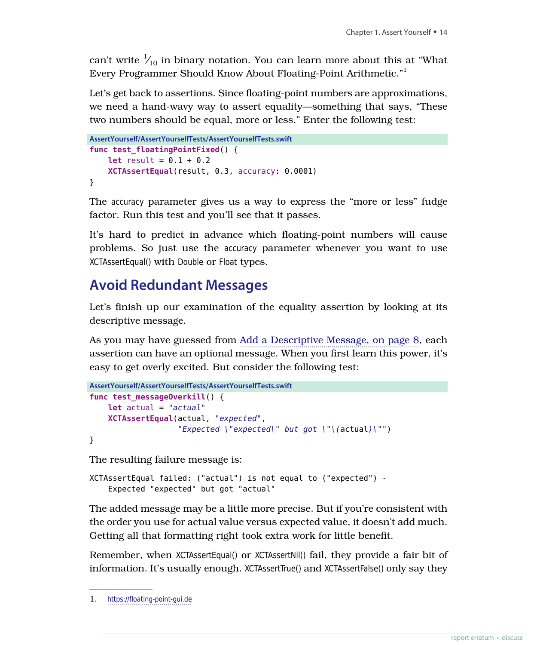can't write  $\frac{1}{10}$  in binary notation. You can learn more about this at "What Every Programmer Should Know About Floating-Point Arithmetic." 1

Let's get back to assertions. Since floating-point numbers are approximations, we need a hand-wavy way to assert equality—something that says, "These two numbers should be equal, more or less." Enter the following test:

```
AssertYourself/AssertYourselfTests/AssertYourselfTests.swift
func test_floatingPointFixed() {
    let result = 0.1 + 0.2XCTAssertEqual(result, 0.3, accuracy: 0.0001)
}
```
The accuracy parameter gives us a way to express the "more or less" fudge factor. Run this test and you'll see that it passes.

It's hard to predict in advance which floating-point numbers will cause problems. So just use the accuracy parameter whenever you want to use XCTAssertEqual() with Double or Float types.

# **Avoid Redundant Messages**

Let's finish up our examination of the equality assertion by looking at its descriptive message.

As you may have guessed from Add a Descriptive Message, on page 8, each assertion can have an optional message. When you first learn this power, it's easy to get overly excited. But consider the following test:

```
AssertYourself/AssertYourselfTests/AssertYourselfTests.swift
func test_messageOverkill() {
    let actual = "actual"
    XCTAssertEqual(actual, "expected",
                     "Expected \"expected\" but got \"\(actual)\"")
}
```
The resulting failure message is:

```
XCTAssertEqual failed: ("actual") is not equal to ("expected") -
    Expected "expected" but got "actual"
```
The added message may be a little more precise. But if you're consistent with the order you use for actual value versus expected value, it doesn't add much. Getting all that formatting right took extra work for little benefit.

Remember, when XCTAssertEqual() or XCTAssertNil() fail, they provide a fair bit of information. It's usually enough. XCTAssertTrue() and XCTAssertFalse() only say they

<sup>1.</sup> https://floating-point-gui.de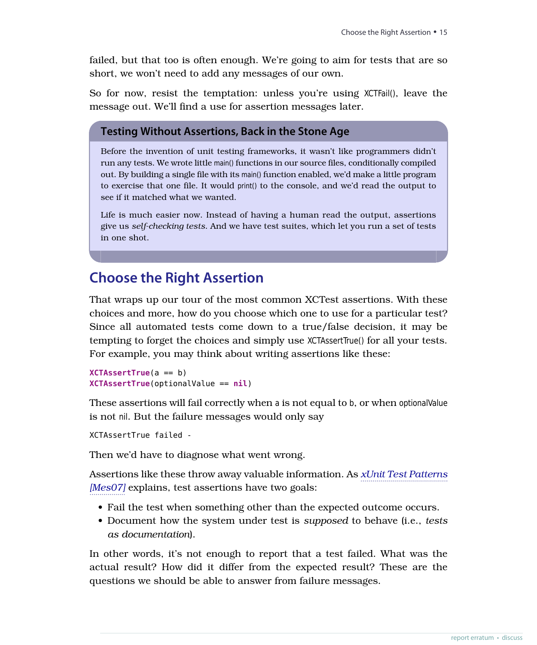failed, but that too is often enough. We're going to aim for tests that are so short, we won't need to add any messages of our own.

So for now, resist the temptation: unless you're using XCTFail(), leave the message out. We'll find a use for assertion messages later.

#### **Testing Without Assertions, Back in the Stone Age**

Before the invention of unit testing frameworks, it wasn't like programmers didn't run any tests. We wrote little main() functions in our source files, conditionally compiled out. By building a single file with its main() function enabled, we'd make a little program to exercise that one file. It would print() to the console, and we'd read the output to see if it matched what we wanted.

Life is much easier now. Instead of having a human read the output, assertions give us *self-checking tests*. And we have test suites, which let you run a set of tests in one shot.

#### **Choose the Right Assertion**

That wraps up our tour of the most common XCTest assertions. With these choices and more, how do you choose which one to use for a particular test? Since all automated tests come down to a true/false decision, it may be tempting to forget the choices and simply use XCTAssertTrue() for all your tests. For example, you may think about writing assertions like these:

```
XCTAssertTrue(a == b)
XCTAssertTrue(optionalValue == nil)
```
These assertions will fail correctly when a is not equal to b, or when optionalValue is not nil. But the failure messages would only say

```
XCTAssertTrue failed -
```
Then we'd have to diagnose what went wrong.

Assertions like these throw away valuable information. As *xUnit Test Patterns [Mes07]* explains, test assertions have two goals:

- Fail the test when something other than the expected outcome occurs.
- Document how the system under test is *supposed* to behave (i.e., *tests as documentation*).

In other words, it's not enough to report that a test failed. What was the actual result? How did it differ from the expected result? These are the questions we should be able to answer from failure messages.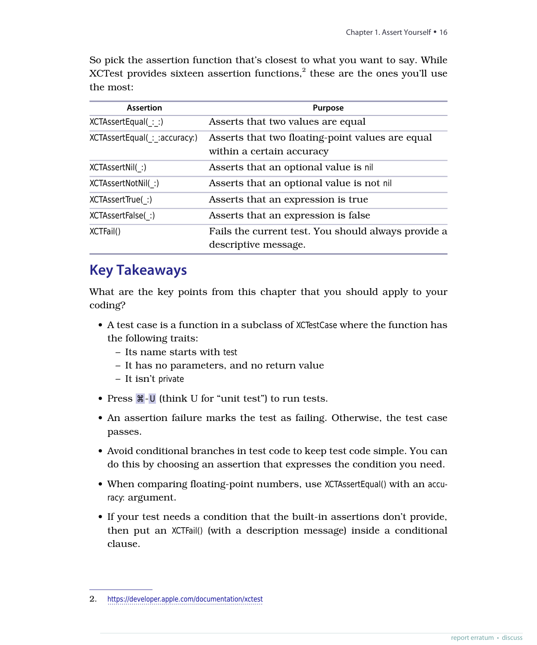So pick the assertion function that's closest to what you want to say. While XCTest provides sixteen assertion functions, $^2$  these are the ones you'll use the most:

| <b>Assertion</b>             | Purpose                                                                       |
|------------------------------|-------------------------------------------------------------------------------|
| XCTAssertEqual(::)           | Asserts that two values are equal                                             |
| XCTAssertEqual(: :accuracy:) | Asserts that two floating-point values are equal<br>within a certain accuracy |
| XCTAssertNil(:)              | Asserts that an optional value is nil                                         |
| XCTAssertNotNil(:)           | Asserts that an optional value is not nil                                     |
| XCTAssertTrue(:)             | Asserts that an expression is true.                                           |
| XCTAssertFalse(:)            | Asserts that an expression is false                                           |
| XCTFail()                    | Fails the current test. You should always provide a<br>descriptive message.   |

## **Key Takeaways**

What are the key points from this chapter that you should apply to your coding?

- A test case is a function in a subclass of XCTestCase where the function has the following traits:
	- Its name starts with test
	- It has no parameters, and no return value
	- It isn't private
- Press  $\frac{1}{2}$ -U (think U for "unit test") to run tests.
- An assertion failure marks the test as failing. Otherwise, the test case passes.
- Avoid conditional branches in test code to keep test code simple. You can do this by choosing an assertion that expresses the condition you need.
- When comparing floating-point numbers, use XCTAssertEqual() with an accuracy: argument.
- If your test needs a condition that the built-in assertions don't provide, then put an XCTFail() (with a description message) inside a conditional clause.

<sup>2.</sup> https://developer.apple.com/documentation/xctest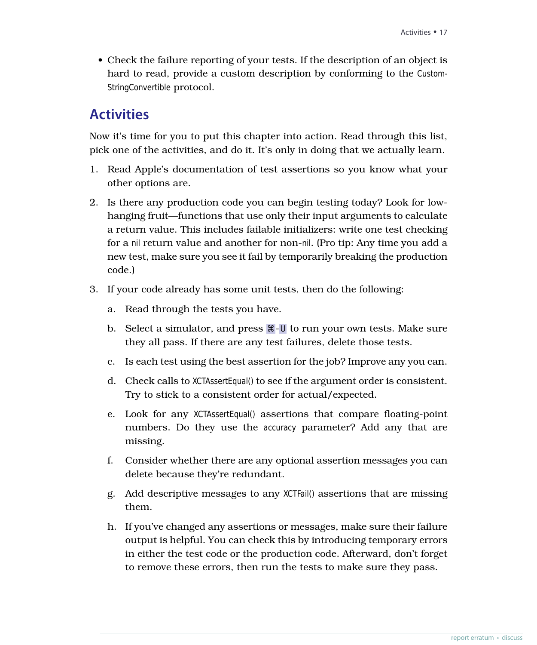• Check the failure reporting of your tests. If the description of an object is hard to read, provide a custom description by conforming to the Custom-StringConvertible protocol.

#### **Activities**

Now it's time for you to put this chapter into action. Read through this list, pick one of the activities, and do it. It's only in doing that we actually learn.

- 1. Read Apple's documentation of test assertions so you know what your other options are.
- 2. Is there any production code you can begin testing today? Look for lowhanging fruit—functions that use only their input arguments to calculate a return value. This includes failable initializers: write one test checking for a nil return value and another for non-nil. (Pro tip: Any time you add a new test, make sure you see it fail by temporarily breaking the production code.)
- 3. If your code already has some unit tests, then do the following:
	- a. Read through the tests you have.
	- b. Select a simulator, and press  $\frac{1}{2}$ -U to run your own tests. Make sure they all pass. If there are any test failures, delete those tests.
	- c. Is each test using the best assertion for the job? Improve any you can.
	- d. Check calls to XCTAssertEqual() to see if the argument order is consistent. Try to stick to a consistent order for actual/expected.
	- e. Look for any XCTAssertEqual() assertions that compare floating-point numbers. Do they use the accuracy parameter? Add any that are missing.
	- f. Consider whether there are any optional assertion messages you can delete because they're redundant.
	- g. Add descriptive messages to any XCTFail() assertions that are missing them.
	- h. If you've changed any assertions or messages, make sure their failure output is helpful. You can check this by introducing temporary errors in either the test code or the production code. Afterward, don't forget to remove these errors, then run the tests to make sure they pass.